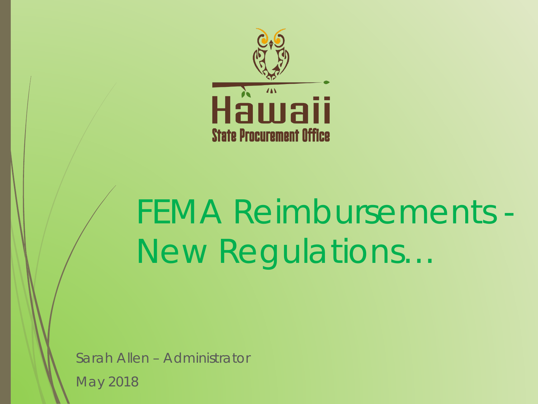

# FEMA Reimbursements - New Regulations…

Sarah Allen – Administrator May 2018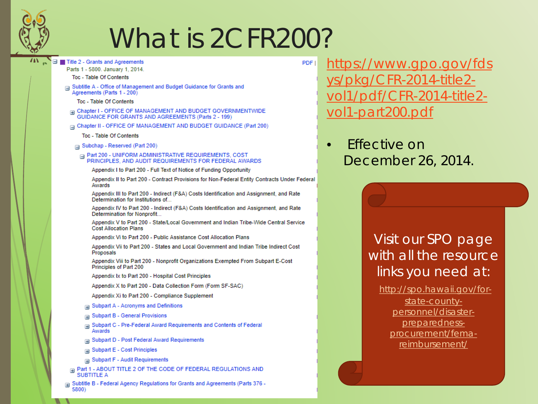

## What is 2CFR200?

**PDF** 

- $\equiv$ Title 2 - Grants and Agreements
	- Parts 1 5800, January 1, 2014.
		- Toc Table Of Contents
	- Subtitle A Office of Management and Budget Guidance for Grants and Agreements (Parts 1 - 200)
		- Toc Table Of Contents
	- **ED** Chapter I OFFICE OF MANAGEMENT AND BUDGET GOVERNMENTWIDE<br>GUIDANCE FOR GRANTS AND AGREEMENTS (Parts 2 199)
	- G Chapter II OFFICE OF MANAGEMENT AND BUDGET GUIDANCE (Part 200)
		- Toc Table Of Contents
	- Subchap Reserved (Part 200)
	- A Part 200 UNIFORM ADMINISTRATIVE REQUIREMENTS, COST PRINCIPLES, AND AUDIT REQUIREMENTS FOR FEDERAL AWARDS

Appendix I to Part 200 - Full Text of Notice of Funding Opportunity

Appendix II to Part 200 - Contract Provisions for Non-Federal Entity Contracts Under Federal Awards

Appendix III to Part 200 - Indirect (F&A) Costs Identification and Assignment, and Rate Determination for Institutions of...

Appendix IV to Part 200 - Indirect (F&A) Costs Identification and Assignment, and Rate Determination for Nonprofit...

Appendix V to Part 200 - State/Local Government and Indian Tribe-Wide Central Service **Cost Allocation Plans** 

Appendix Vi to Part 200 - Public Assistance Cost Allocation Plans

Appendix Vii to Part 200 - States and Local Government and Indian Tribe Indirect Cost Proposals

Appendix Viii to Part 200 - Nonprofit Organizations Exempted From Subpart E-Cost Principles of Part 200

Appendix Ix to Part 200 - Hospital Cost Principles

Appendix X to Part 200 - Data Collection Form (Form SF-SAC)

Appendix Xi to Part 200 - Compliance Supplement

- a Subpart A Acronyms and Definitions
- **Example 1 Subpart B General Provisions**
- Subpart C Pre-Federal Award Requirements and Contents of Federal  $\overline{H}$ Awards
- **El Subpart D Post Federal Award Requirements**
- **B** Subpart E Cost Principles
- **Example 2** Subpart F Audit Requirements
- F Part 1 ABOUT TITLE 2 OF THE CODE OF FEDERAL REGULATIONS AND **SUBTITLE A**

a Subtitle B - Federal Agency Regulations for Grants and Agreements (Parts 376 -5800)

<u>https://www.gpo.gov/fds</u> pkg/CFR-2014-title2-/pdf/CFR-2014-title2vol1-part200.pdf

**Fffective on** December 26, 2014.

### Visit our SPO page with all the resource links you need at:

http://spo.hawaii.gov/forstate-countypersonnel/disasterpreparednessprocurement/femareimbursement/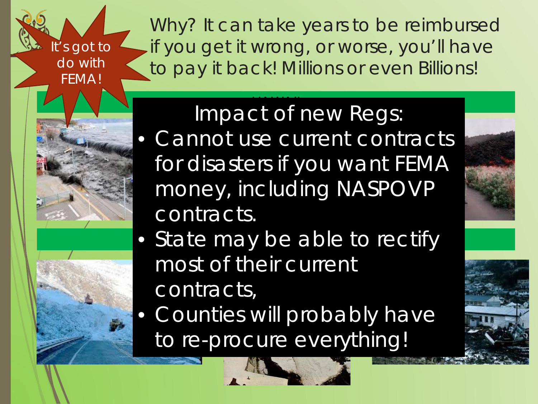It's got to do with FEMA!

Why? It can take years to be reimbursed if you get it wrong, or worse, you'll have to pay it back! Millions or even Billions!

### $\overline{\phantom{a}}$ Impact of new Regs:

- Cannot use current contracts for disasters if you want FEMA money, including NASPOVP contracts.
- State may be able to rectify most of their current contracts,
- Counties will probably have to re-procure everything!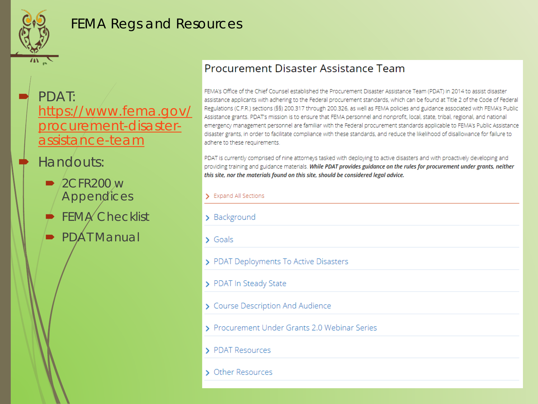

## FEMA Regs and Resources

 PDAT: [https://www.fema.gov/](https://www.fema.gov/procurement-disaster-assistance-team) procurement-disasterassistance-team

## Handouts:

- $\rightarrow$  2CFR200 w **Appendices**
- $\blacktriangleright$  FEMA Checklist

**PDAT Manual** 

#### **Procurement Disaster Assistance Team**

FEMA's Office of the Chief Counsel established the Procurement Disaster Assistance Team (PDAT) in 2014 to assist disaster assistance applicants with adhering to the Federal procurement standards, which can be found at Title 2 of the Code of Federal Regulations (C.F.R.) sections (§§) 200.317 through 200.326, as well as FEMA policies and guidance associated with FEMA's Public Assistance grants. PDAT's mission is to ensure that FEMA personnel and nonprofit, local, state, tribal, regional, and national emergency management personnel are familiar with the Federal procurement standards applicable to FEMA's Public Assistance disaster grants, in order to facilitate compliance with these standards, and reduce the likelihood of disallowance for failure to adhere to these requirements.

PDAT is currently comprised of nine attorneys tasked with deploying to active disasters and with proactively developing and providing training and guidance materials. While PDAT provides guidance on the rules for procurement under grants, neither this site, nor the materials found on this site, should be considered legal advice.

| <b>Expand All Sections</b>                    |
|-----------------------------------------------|
| Background<br>⋗                               |
| Goals<br>$\mathcal{L}$                        |
| > PDAT Deployments To Active Disasters        |
| > PDAT In Steady State                        |
| > Course Description And Audience             |
| > Procurement Under Grants 2.0 Webinar Series |
| PDA<br>Resources                              |

> Other Resources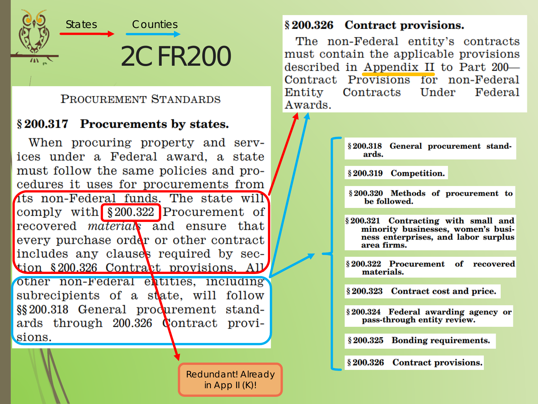

#### PROCUREMENT STANDARDS

#### §200.317 Procurements by states.

When procuring property and services under a Federal award, a state must follow the same policies and procedures it uses for procurements from its non-Federal funds. The state will comply with  $\S 200.322$  Procurement of recovered *material* and ensure that every purchase order or other contract includes any clauses required by section §200.326 Contract provisions. All other non-Federal entities, including subrecipients of a state, will follow §§200.318 General produrement standards through 200.326 Contract provisions.

> **Redundant! Already** in App II $(K)!$

#### §200.326 Contract provisions.

The non-Federal entity's contracts must contain the applicable provisions described in Appendix II to Part 200-Contract Provisions for non-Federal Contracts Under Entity Federal Awards.

> §200.318 General procurement standards.

§200.319 Competition.

§200.320 Methods of procurement to be followed.

§200.321 Contracting with small and minority businesses, women's business enterprises, and labor surplus area firms.

§200.322 Procurement of recovered materials.

§200.323 Contract cost and price.

§ 200.324 Federal awarding agency or pass-through entity review.

§ 200.325 Bonding requirements.

§ 200.326 Contract provisions.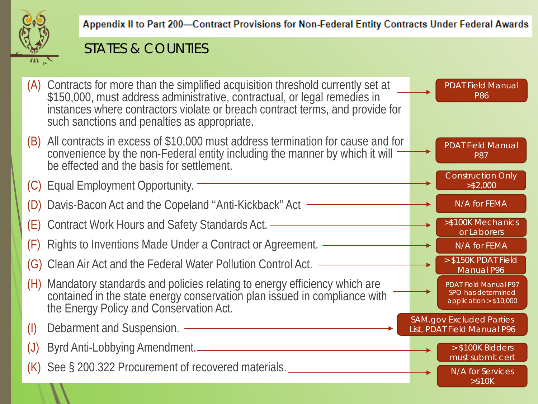

Appendix II to Part 200-Contract Provisions for Non-Federal Entity Contracts Under Federal Awards

## STATES & COUNTIES

(A) Contracts for more than the simplified acquisition threshold currently set at \$150,000, must address administrative, contractual, or legal remedies in instances where contractors violate or breach contract terms, and provide for such sanctions and penalties as appropriate. (B) All contracts in excess of \$10,000 must address termination for cause and for convenience by the non-Federal entity including the manner by which it will be effected and the basis for settlement. (C) Equal Employment Opportunity. (D) Davis-Bacon Act and the Copeland ''Anti-Kickback'' Act (E) Contract Work Hours and Safety Standards Act. (F) Rights to Inventions Made Under a Contract or Agreement. (G) Clean Air Act and the Federal Water Pollution Control Act. (H) Mandatory standards and policies relating to energy efficiency which are contained in the state energy conservation plan issued in compliance with the Energy Policy and Conservation Act. (I) Debarment and Suspension. (J) Byrd Anti-Lobbying Amendment. (K) See § 200.322 Procurement of recovered materials. Construction Only >\$2,000 N/A for FEMA >\$100K Mechanics or Laborers N/A for FEMA > \$150K PDAT Field Manual P96 PDAT Field Manual P97 SPO has determined application > \$10,000 SAM.gov Excluded Parties List, PDAT Field Manual P96 > \$100K Bidders must submit cert N/A for Services >\$10K PDAT Field Manual P86 PDAT Field Manual P87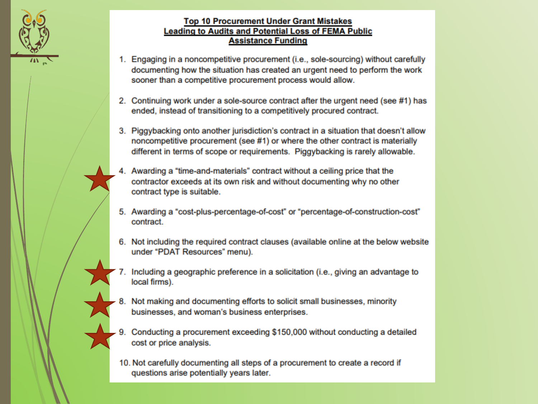

#### **Top 10 Procurement Under Grant Mistakes Leading to Audits and Potential Loss of FEMA Public Assistance Funding**

- 1. Engaging in a noncompetitive procurement (i.e., sole-sourcing) without carefully documenting how the situation has created an urgent need to perform the work sooner than a competitive procurement process would allow.
- 2. Continuing work under a sole-source contract after the urgent need (see #1) has ended, instead of transitioning to a competitively procured contract.
- 3. Piggybacking onto another jurisdiction's contract in a situation that doesn't allow noncompetitive procurement (see #1) or where the other contract is materially different in terms of scope or requirements. Piggybacking is rarely allowable.
- 4. Awarding a "time-and-materials" contract without a ceiling price that the contractor exceeds at its own risk and without documenting why no other contract type is suitable.
- 5. Awarding a "cost-plus-percentage-of-cost" or "percentage-of-construction-cost" contract.
- 6. Not including the required contract clauses (available online at the below website under "PDAT Resources" menu).
- 7. Including a geographic preference in a solicitation (i.e., giving an advantage to local firms).
- 8. Not making and documenting efforts to solicit small businesses, minority businesses, and woman's business enterprises.
- 9. Conducting a procurement exceeding \$150,000 without conducting a detailed cost or price analysis.
- 10. Not carefully documenting all steps of a procurement to create a record if questions arise potentially years later.